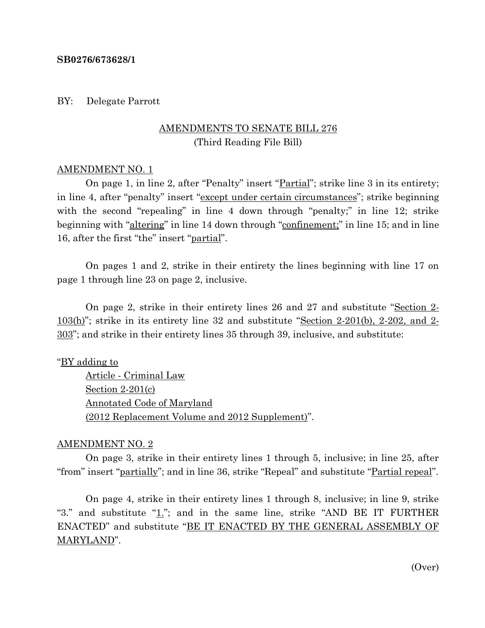#### **SB0276/673628/1**

#### BY: Delegate Parrott

# AMENDMENTS TO SENATE BILL 276 (Third Reading File Bill)

#### AMENDMENT NO. 1

On page 1, in line 2, after "Penalty" insert "<u>Partial</u>"; strike line 3 in its entirety; in line 4, after "penalty" insert "except under certain circumstances"; strike beginning with the second "repealing" in line 4 down through "penalty;" in line 12; strike beginning with "altering" in line 14 down through "confinement;" in line 15; and in line 16, after the first "the" insert "partial".

On pages 1 and 2, strike in their entirety the lines beginning with line 17 on page 1 through line 23 on page 2, inclusive.

On page 2, strike in their entirety lines 26 and 27 and substitute "Section 2- 103(h)"; strike in its entirety line 32 and substitute "Section 2-201(b), 2-202, and 2- 303"; and strike in their entirety lines 35 through 39, inclusive, and substitute:

"BY adding to

Article - Criminal Law Section 2-201(c) Annotated Code of Maryland (2012 Replacement Volume and 2012 Supplement)".

### AMENDMENT NO. 2

On page 3, strike in their entirety lines 1 through 5, inclusive; in line 25, after "from" insert "partially"; and in line 36, strike "Repeal" and substitute "Partial repeal".

On page 4, strike in their entirety lines 1 through 8, inclusive; in line 9, strike "3." and substitute " $1$ ."; and in the same line, strike "AND BE IT FURTHER ENACTED" and substitute "BE IT ENACTED BY THE GENERAL ASSEMBLY OF MARYLAND".

(Over)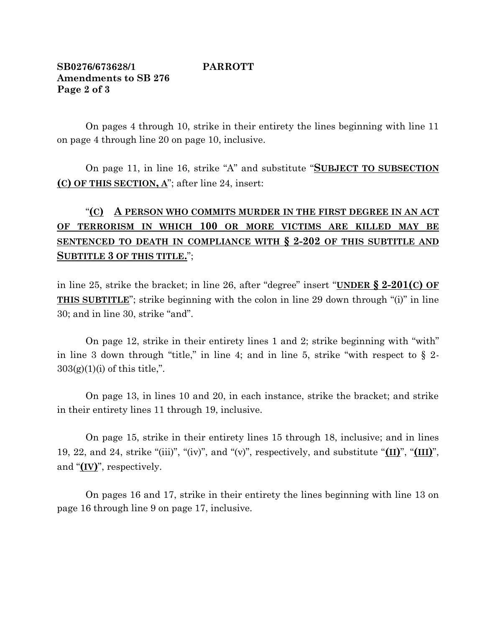## **SB0276/673628/1 PARROTT Amendments to SB 276 Page 2 of 3**

On pages 4 through 10, strike in their entirety the lines beginning with line 11 on page 4 through line 20 on page 10, inclusive.

On page 11, in line 16, strike "A" and substitute "**SUBJECT TO SUBSECTION (C) OF THIS SECTION, A**"; after line 24, insert:

# "**(C) A PERSON WHO COMMITS MURDER IN THE FIRST DEGREE IN AN ACT OF TERRORISM IN WHICH 100 OR MORE VICTIMS ARE KILLED MAY BE SENTENCED TO DEATH IN COMPLIANCE WITH § 2-202 OF THIS SUBTITLE AND SUBTITLE 3 OF THIS TITLE.**";

in line 25, strike the bracket; in line 26, after "degree" insert "**UNDER § 2-201(C) OF THIS SUBTITLE**"; strike beginning with the colon in line 29 down through "(i)" in line 30; and in line 30, strike "and".

On page 12, strike in their entirety lines 1 and 2; strike beginning with "with" in line 3 down through "title," in line 4; and in line 5, strike "with respect to  $\S$  2- $303(g)(1)(i)$  of this title,".

On page 13, in lines 10 and 20, in each instance, strike the bracket; and strike in their entirety lines 11 through 19, inclusive.

On page 15, strike in their entirety lines 15 through 18, inclusive; and in lines 19, 22, and 24, strike "(iii)", "(iv)", and "(v)", respectively, and substitute "**(II)**", "**(III)**", and "**(IV)**", respectively.

On pages 16 and 17, strike in their entirety the lines beginning with line 13 on page 16 through line 9 on page 17, inclusive.